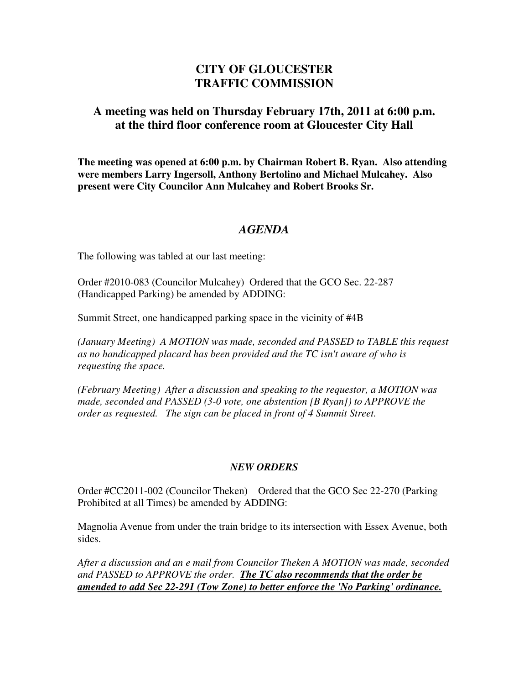## **CITY OF GLOUCESTER TRAFFIC COMMISSION**

## **A meeting was held on Thursday February 17th, 2011 at 6:00 p.m. at the third floor conference room at Gloucester City Hall**

**The meeting was opened at 6:00 p.m. by Chairman Robert B. Ryan. Also attending were members Larry Ingersoll, Anthony Bertolino and Michael Mulcahey. Also present were City Councilor Ann Mulcahey and Robert Brooks Sr.** 

## *AGENDA*

The following was tabled at our last meeting:

Order #2010-083 (Councilor Mulcahey) Ordered that the GCO Sec. 22-287 (Handicapped Parking) be amended by ADDING:

Summit Street, one handicapped parking space in the vicinity of #4B

*(January Meeting) A MOTION was made, seconded and PASSED to TABLE this request as no handicapped placard has been provided and the TC isn't aware of who is requesting the space.* 

*(February Meeting) After a discussion and speaking to the requestor, a MOTION was made, seconded and PASSED (3-0 vote, one abstention [B Ryan]) to APPROVE the order as requested. The sign can be placed in front of 4 Summit Street.* 

## *NEW ORDERS*

Order #CC2011-002 (Councilor Theken) Ordered that the GCO Sec 22-270 (Parking Prohibited at all Times) be amended by ADDING:

Magnolia Avenue from under the train bridge to its intersection with Essex Avenue, both sides.

*After a discussion and an e mail from Councilor Theken A MOTION was made, seconded and PASSED to APPROVE the order. The TC also recommends that the order be amended to add Sec 22-291 (Tow Zone) to better enforce the 'No Parking' ordinance.*